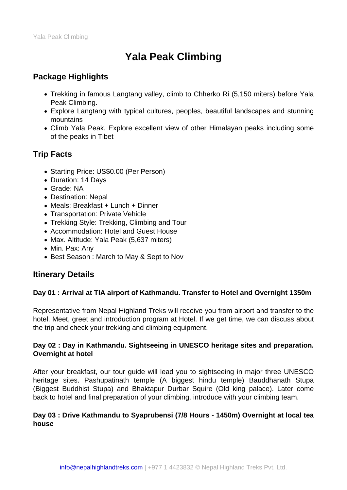# Yala Peak Climbing

# Package Highlights

- Trekking in famous Langtang valley, climb to Chherko Ri (5,150 miters) before Yala Peak Climbing.
- Explore Langtang with typical cultures, peoples, beautiful landscapes and stunning mountains
- Climb Yala Peak, Explore excellent view of other Himalayan peaks including some of the peaks in Tibet

## Trip Facts

- Starting Price: US\$0.00 (Per Person)
- Duration: 14 Days
- Grade: NA
- Destination: Nepal
- Meals: Breakfast + Lunch + Dinner
- Transportation: Private Vehicle
- Trekking Style: Trekking, Climbing and Tour
- Accommodation: Hotel and Guest House
- Max. Altitude: Yala Peak (5,637 miters)
- Min. Pax: Any
- Best Season: March to May & Sept to Nov

## Itinerary Details

Day 01 : Arrival at TIA airport of Kathmandu. Transfer to Hotel and Overnight 1350m

Representative from Nepal Highland Treks will receive you from airport and transfer to the hotel. Meet, greet and introduction program at Hotel. If we get time, we can discuss about the trip and check your trekking and climbing equipment.

Day 02 : Day in Kathmandu. Sightseeing in UNESCO heritage sites and preparation. Overnight at hotel

After your breakfast, our tour guide will lead you to sightseeing in major three UNESCO heritage sites. Pashupatinath temple (A biggest hindu temple) Bauddhanath Stupa (Biggest Buddhist Stupa) and Bhaktapur Durbar Squire (Old king palace). Later come back to hotel and final preparation of your climbing. introduce with your climbing team.

Day 03 : Drive Kathmandu to Syaprubensi (7/8 Hours - 1450m) Overnight at local tea house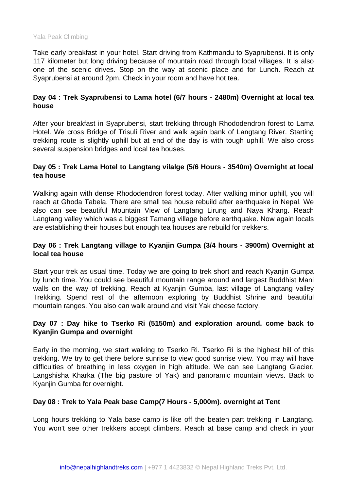Take early breakfast in your hotel. Start driving from Kathmandu to Syaprubensi. It is only 117 kilometer but long driving because of mountain road through local villages. It is also one of the scenic drives. Stop on the way at scenic place and for Lunch. Reach at Syaprubensi at around 2pm. Check in your room and have hot tea.

Day 04 : Trek Syaprubensi to Lama hotel (6/7 hours - 2480m) Overnight at local tea house

After your breakfast in Syaprubensi, start trekking through Rhododendron forest to Lama Hotel. We cross Bridge of Trisuli River and walk again bank of Langtang River. Starting trekking route is slightly uphill but at end of the day is with tough uphill. We also cross several suspension bridges and local tea houses.

Day 05 : Trek Lama Hotel to Langtang vilalge (5/6 Hours - 3540m) Overnight at local tea house

Walking again with dense Rhododendron forest today. After walking minor uphill, you will reach at Ghoda Tabela. There are small tea house rebuild after earthquake in Nepal. We also can see beautiful Mountain View of Langtang Lirung and Naya Khang. Reach Langtang valley which was a biggest Tamang village before earthquake. Now again locals are establishing their houses but enough tea houses are rebuild for trekkers.

Day 06 : Trek Langtang village to Kyanjin Gumpa (3/4 hours - 3900m) Overnight at local tea house

Start your trek as usual time. Today we are going to trek short and reach Kyanjin Gumpa by lunch time. You could see beautiful mountain range around and largest Buddhist Mani walls on the way of trekking. Reach at Kyanjin Gumba, last village of Langtang valley Trekking. Spend rest of the afternoon exploring by Buddhist Shrine and beautiful mountain ranges. You also can walk around and visit Yak cheese factory.

Day 07 : Day hike to Tserko Ri (5150m) and exploration around. come back to Kyanjin Gumpa and overnight

Early in the morning, we start walking to Tserko Ri. Tserko Ri is the highest hill of this trekking. We try to get there before sunrise to view good sunrise view. You may will have difficulties of breathing in less oxygen in high altitude. We can see Langtang Glacier, Langshisha Kharka (The big pasture of Yak) and panoramic mountain views. Back to Kyanjin Gumba for overnight.

Day 08 : Trek to Yala Peak base Camp(7 Hours - 5,000m). overnight at Tent

Long hours trekking to Yala base camp is like off the beaten part trekking in Langtang. You won't see other trekkers accept climbers. Reach at base camp and check in your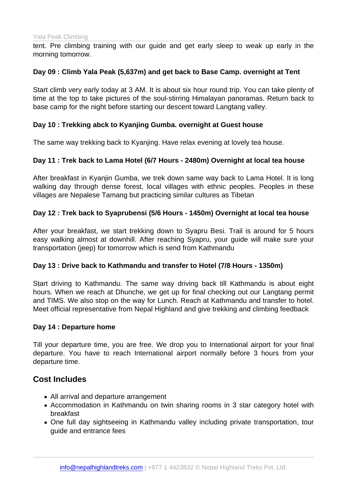tent. Pre climbing training with our guide and get early sleep to weak up early in the morning tomorrow.

Day 09 : Climb Yala Peak (5,637m) and get back to Base Camp. overnight at Tent

Start climb very early today at 3 AM. It is about six hour round trip. You can take plenty of time at the top to take pictures of the soul-stirring Himalayan panoramas. Return back to base camp for the night before starting our descent toward Langtang valley.

Day 10 : Trekking abck to Kyanjing Gumba. overnight at Guest house

The same way trekking back to Kyanjing. Have relax evening at lovely tea house.

Day 11 : Trek back to Lama Hotel (6/7 Hours - 2480m) Overnight at local tea house

After breakfast in Kyanjin Gumba, we trek down same way back to Lama Hotel. It is long walking day through dense forest, local villages with ethnic peoples. Peoples in these villages are Nepalese Tamang but practicing similar cultures as Tibetan

Day 12 : Trek back to Syaprubensi (5/6 Hours - 1450m) Overnight at local tea house

After your breakfast, we start trekking down to Syapru Besi. Trail is around for 5 hours easy walking almost at downhill. After reaching Syapru, your guide will make sure your transportation (jeep) for tomorrow which is send from Kathmandu

Day 13 : Drive back to Kathmandu and transfer to Hotel (7/8 Hours - 1350m)

Start driving to Kathmandu. The same way driving back till Kathmandu is about eight hours. When we reach at Dhunche, we get up for final checking out our Langtang permit and TIMS. We also stop on the way for Lunch. Reach at Kathmandu and transfer to hotel. Meet official representative from Nepal Highland and give trekking and climbing feedback

Day 14 : Departure home

Till your departure time, you are free. We drop you to International airport for your final departure. You have to reach International airport normally before 3 hours from your departure time.

#### Cost Includes

- All arrival and departure arrangement
- Accommodation in Kathmandu on twin sharing rooms in 3 star category hotel with breakfast
- One full day sightseeing in Kathmandu valley including private transportation, tour guide and entrance fees